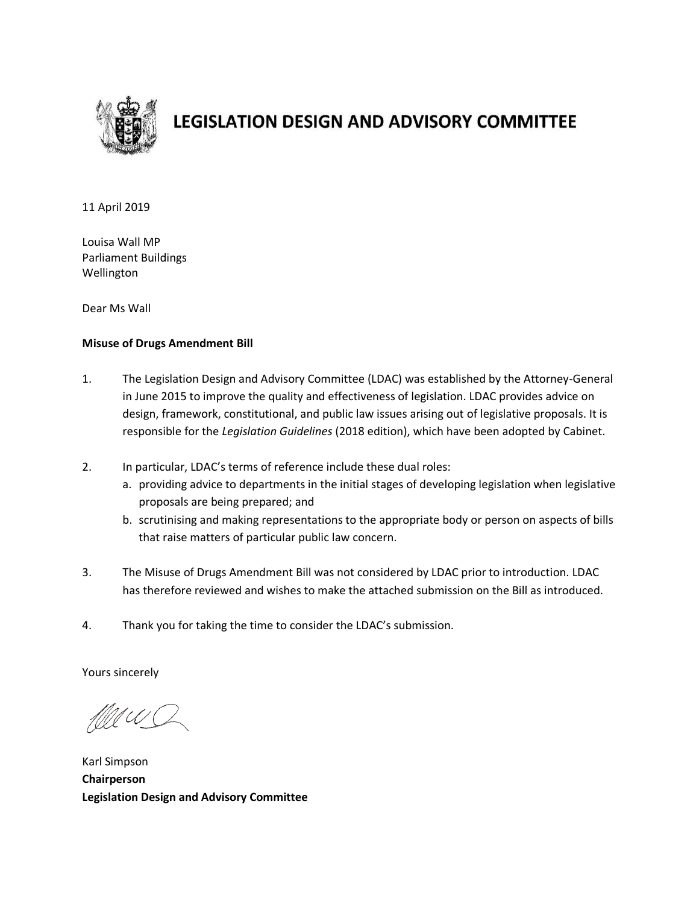

# **LEGISLATION DESIGN AND ADVISORY COMMITTEE**

11 April 2019

Louisa Wall MP Parliament Buildings Wellington

Dear Ms Wall

#### **Misuse of Drugs Amendment Bill**

- 1. The Legislation Design and Advisory Committee (LDAC) was established by the Attorney-General in June 2015 to improve the quality and effectiveness of legislation. LDAC provides advice on design, framework, constitutional, and public law issues arising out of legislative proposals. It is responsible for the *Legislation Guidelines* (2018 edition), which have been adopted by Cabinet.
- 2. In particular, LDAC's terms of reference include these dual roles:
	- a. providing advice to departments in the initial stages of developing legislation when legislative proposals are being prepared; and
	- b. scrutinising and making representations to the appropriate body or person on aspects of bills that raise matters of particular public law concern.
- 3. The Misuse of Drugs Amendment Bill was not considered by LDAC prior to introduction. LDAC has therefore reviewed and wishes to make the attached submission on the Bill as introduced.
- 4. Thank you for taking the time to consider the LDAC's submission.

Yours sincerely

UU (L

Karl Simpson **Chairperson Legislation Design and Advisory Committee**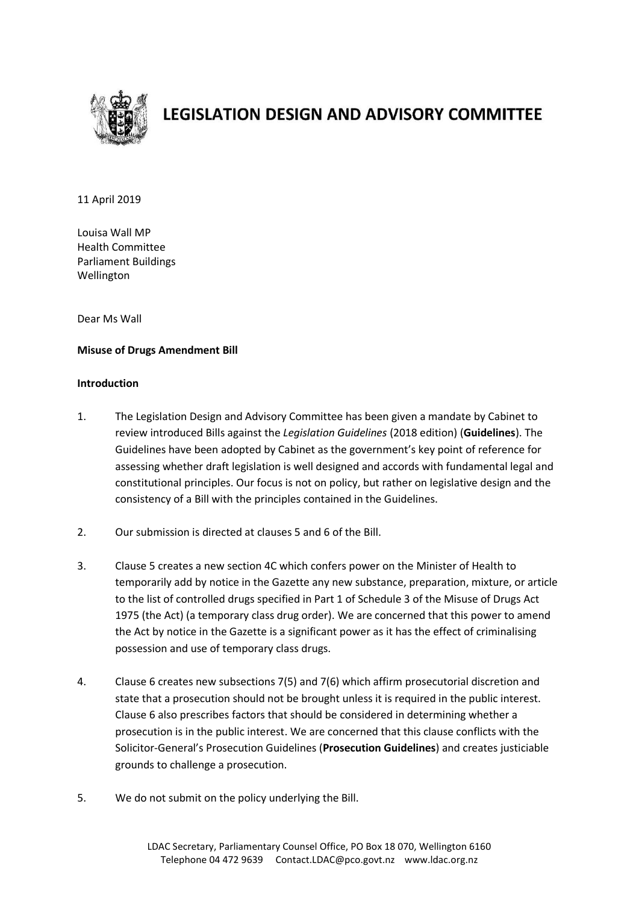

# **LEGISLATION DESIGN AND ADVISORY COMMITTEE**

11 April 2019

Louisa Wall MP Health Committee Parliament Buildings Wellington

Dear Ms Wall

## **Misuse of Drugs Amendment Bill**

#### **Introduction**

- 1. The Legislation Design and Advisory Committee has been given a mandate by Cabinet to review introduced Bills against the *Legislation Guidelines* (2018 edition) (**Guidelines**). The Guidelines have been adopted by Cabinet as the government's key point of reference for assessing whether draft legislation is well designed and accords with fundamental legal and constitutional principles. Our focus is not on policy, but rather on legislative design and the consistency of a Bill with the principles contained in the Guidelines.
- 2. Our submission is directed at clauses 5 and 6 of the Bill.
- 3. Clause 5 creates a new section 4C which confers power on the Minister of Health to temporarily add by notice in the Gazette any new substance, preparation, mixture, or article to the list of controlled drugs specified in Part 1 of Schedule 3 of the Misuse of Drugs Act 1975 (the Act) (a temporary class drug order). We are concerned that this power to amend the Act by notice in the Gazette is a significant power as it has the effect of criminalising possession and use of temporary class drugs.
- 4. Clause 6 creates new subsections 7(5) and 7(6) which affirm prosecutorial discretion and state that a prosecution should not be brought unless it is required in the public interest. Clause 6 also prescribes factors that should be considered in determining whether a prosecution is in the public interest. We are concerned that this clause conflicts with the Solicitor-General's Prosecution Guidelines (**Prosecution Guidelines**) and creates justiciable grounds to challenge a prosecution.
- 5. We do not submit on the policy underlying the Bill.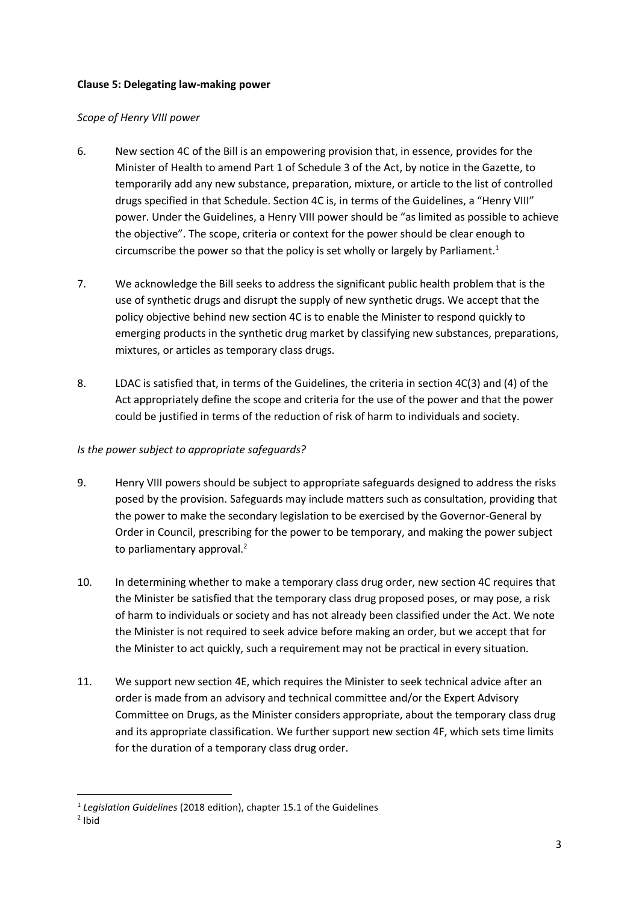# **Clause 5: Delegating law-making power**

## *Scope of Henry VIII power*

- 6. New section 4C of the Bill is an empowering provision that, in essence, provides for the Minister of Health to amend Part 1 of Schedule 3 of the Act, by notice in the Gazette, to temporarily add any new substance, preparation, mixture, or article to the list of controlled drugs specified in that Schedule. Section 4C is, in terms of the Guidelines, a "Henry VIII" power. Under the Guidelines, a Henry VIII power should be "as limited as possible to achieve the objective". The scope, criteria or context for the power should be clear enough to circumscribe the power so that the policy is set wholly or largely by Parliament.<sup>1</sup>
- 7. We acknowledge the Bill seeks to address the significant public health problem that is the use of synthetic drugs and disrupt the supply of new synthetic drugs. We accept that the policy objective behind new section 4C is to enable the Minister to respond quickly to emerging products in the synthetic drug market by classifying new substances, preparations, mixtures, or articles as temporary class drugs.
- 8. LDAC is satisfied that, in terms of the Guidelines, the criteria in section 4C(3) and (4) of the Act appropriately define the scope and criteria for the use of the power and that the power could be justified in terms of the reduction of risk of harm to individuals and society.

# *Is the power subject to appropriate safeguards?*

- 9. Henry VIII powers should be subject to appropriate safeguards designed to address the risks posed by the provision. Safeguards may include matters such as consultation, providing that the power to make the secondary legislation to be exercised by the Governor-General by Order in Council, prescribing for the power to be temporary, and making the power subject to parliamentary approval.<sup>2</sup>
- 10. In determining whether to make a temporary class drug order, new section 4C requires that the Minister be satisfied that the temporary class drug proposed poses, or may pose, a risk of harm to individuals or society and has not already been classified under the Act. We note the Minister is not required to seek advice before making an order, but we accept that for the Minister to act quickly, such a requirement may not be practical in every situation.
- 11. We support new section 4E, which requires the Minister to seek technical advice after an order is made from an advisory and technical committee and/or the Expert Advisory Committee on Drugs, as the Minister considers appropriate, about the temporary class drug and its appropriate classification. We further support new section 4F, which sets time limits for the duration of a temporary class drug order.

1

<sup>1</sup> *Legislation Guidelines* (2018 edition), chapter 15.1 of the Guidelines

<sup>2</sup> Ibid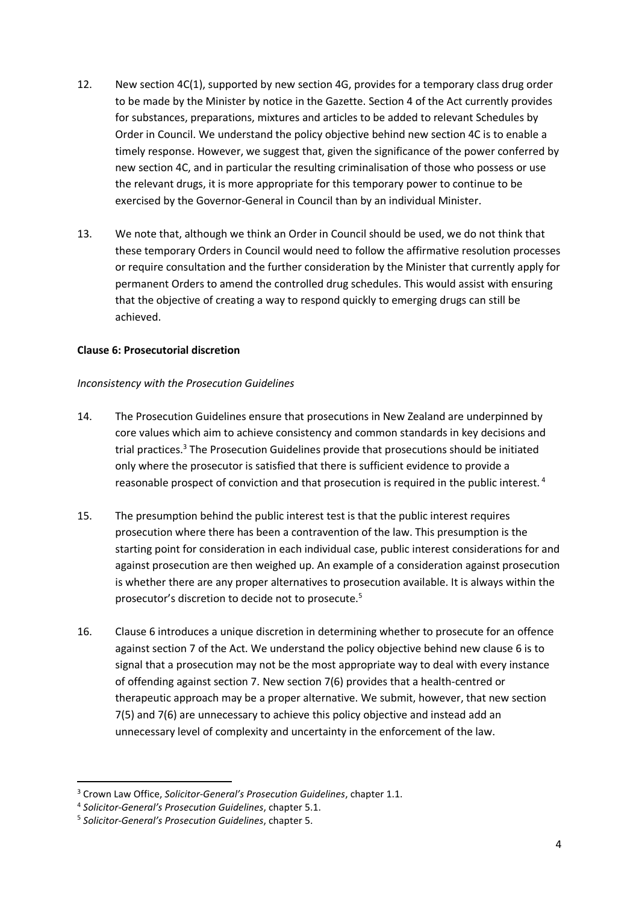- 12. New section 4C(1), supported by new section 4G, provides for a temporary class drug order to be made by the Minister by notice in the Gazette. Section 4 of the Act currently provides for substances, preparations, mixtures and articles to be added to relevant Schedules by Order in Council. We understand the policy objective behind new section 4C is to enable a timely response. However, we suggest that, given the significance of the power conferred by new section 4C, and in particular the resulting criminalisation of those who possess or use the relevant drugs, it is more appropriate for this temporary power to continue to be exercised by the Governor-General in Council than by an individual Minister.
- 13. We note that, although we think an Order in Council should be used, we do not think that these temporary Orders in Council would need to follow the affirmative resolution processes or require consultation and the further consideration by the Minister that currently apply for permanent Orders to amend the controlled drug schedules. This would assist with ensuring that the objective of creating a way to respond quickly to emerging drugs can still be achieved.

## **Clause 6: Prosecutorial discretion**

#### *Inconsistency with the Prosecution Guidelines*

- 14. The Prosecution Guidelines ensure that prosecutions in New Zealand are underpinned by core values which aim to achieve consistency and common standards in key decisions and trial practices.<sup>3</sup> The Prosecution Guidelines provide that prosecutions should be initiated only where the prosecutor is satisfied that there is sufficient evidence to provide a reasonable prospect of conviction and that prosecution is required in the public interest.<sup>4</sup>
- 15. The presumption behind the public interest test is that the public interest requires prosecution where there has been a contravention of the law. This presumption is the starting point for consideration in each individual case, public interest considerations for and against prosecution are then weighed up. An example of a consideration against prosecution is whether there are any proper alternatives to prosecution available. It is always within the prosecutor's discretion to decide not to prosecute.<sup>5</sup>
- 16. Clause 6 introduces a unique discretion in determining whether to prosecute for an offence against section 7 of the Act. We understand the policy objective behind new clause 6 is to signal that a prosecution may not be the most appropriate way to deal with every instance of offending against section 7. New section 7(6) provides that a health-centred or therapeutic approach may be a proper alternative. We submit, however, that new section 7(5) and 7(6) are unnecessary to achieve this policy objective and instead add an unnecessary level of complexity and uncertainty in the enforcement of the law.

**.** 

<sup>3</sup> Crown Law Office, *Solicitor-General's Prosecution Guidelines*, chapter 1.1.

<sup>4</sup> *Solicitor-General's Prosecution Guidelines*, chapter 5.1.

<sup>5</sup> *Solicitor-General's Prosecution Guidelines*, chapter 5.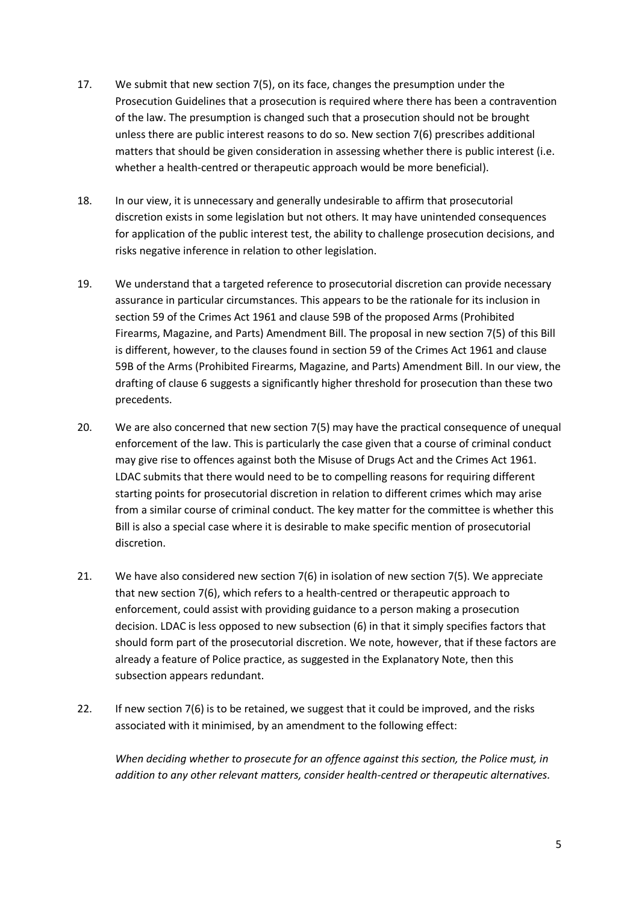- 17. We submit that new section 7(5), on its face, changes the presumption under the Prosecution Guidelines that a prosecution is required where there has been a contravention of the law. The presumption is changed such that a prosecution should not be brought unless there are public interest reasons to do so. New section 7(6) prescribes additional matters that should be given consideration in assessing whether there is public interest (i.e. whether a health-centred or therapeutic approach would be more beneficial).
- 18. In our view, it is unnecessary and generally undesirable to affirm that prosecutorial discretion exists in some legislation but not others. It may have unintended consequences for application of the public interest test, the ability to challenge prosecution decisions, and risks negative inference in relation to other legislation.
- 19. We understand that a targeted reference to prosecutorial discretion can provide necessary assurance in particular circumstances. This appears to be the rationale for its inclusion in section 59 of the Crimes Act 1961 and clause 59B of the proposed Arms (Prohibited Firearms, Magazine, and Parts) Amendment Bill. The proposal in new section 7(5) of this Bill is different, however, to the clauses found in section 59 of the Crimes Act 1961 and clause 59B of the Arms (Prohibited Firearms, Magazine, and Parts) Amendment Bill. In our view, the drafting of clause 6 suggests a significantly higher threshold for prosecution than these two precedents.
- 20. We are also concerned that new section 7(5) may have the practical consequence of unequal enforcement of the law. This is particularly the case given that a course of criminal conduct may give rise to offences against both the Misuse of Drugs Act and the Crimes Act 1961. LDAC submits that there would need to be to compelling reasons for requiring different starting points for prosecutorial discretion in relation to different crimes which may arise from a similar course of criminal conduct. The key matter for the committee is whether this Bill is also a special case where it is desirable to make specific mention of prosecutorial discretion.
- 21. We have also considered new section 7(6) in isolation of new section 7(5). We appreciate that new section 7(6), which refers to a health-centred or therapeutic approach to enforcement, could assist with providing guidance to a person making a prosecution decision. LDAC is less opposed to new subsection (6) in that it simply specifies factors that should form part of the prosecutorial discretion. We note, however, that if these factors are already a feature of Police practice, as suggested in the Explanatory Note, then this subsection appears redundant.
- 22. If new section 7(6) is to be retained, we suggest that it could be improved, and the risks associated with it minimised, by an amendment to the following effect:

*When deciding whether to prosecute for an offence against this section, the Police must, in addition to any other relevant matters, consider health-centred or therapeutic alternatives.*